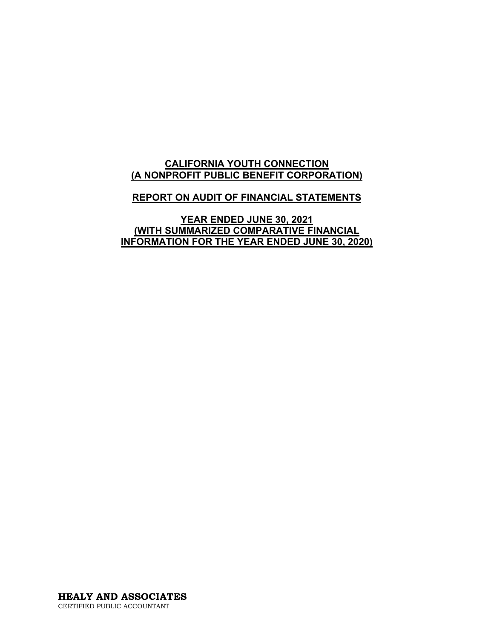## **CALIFORNIA YOUTH CONNECTION (A NONPROFIT PUBLIC BENEFIT CORPORATION)**

## **REPORT ON AUDIT OF FINANCIAL STATEMENTS**

**YEAR ENDED JUNE 30, 2021 (WITH SUMMARIZED COMPARATIVE FINANCIAL INFORMATION FOR THE YEAR ENDED JUNE 30, 2020)** 

**HEALY AND ASSOCIATES** CERTIFIED PUBLIC ACCOUNTANT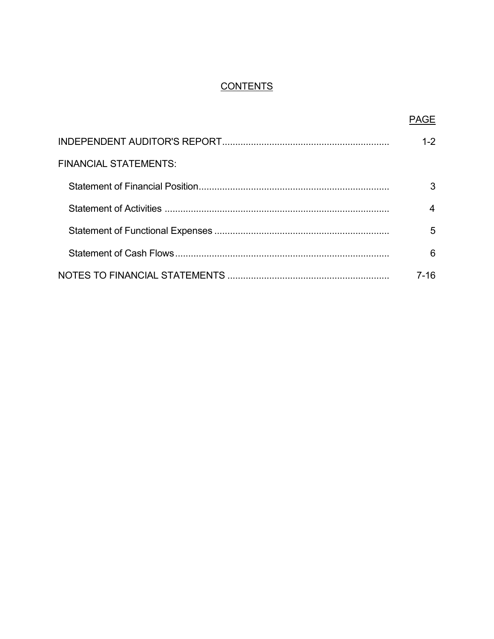# **CONTENTS**

|                              | PAGF    |
|------------------------------|---------|
|                              | $1 - 2$ |
| <b>FINANCIAL STATEMENTS:</b> |         |
|                              | 3       |
|                              | 4       |
|                              | 5       |
|                              | 6       |
|                              | 7-16    |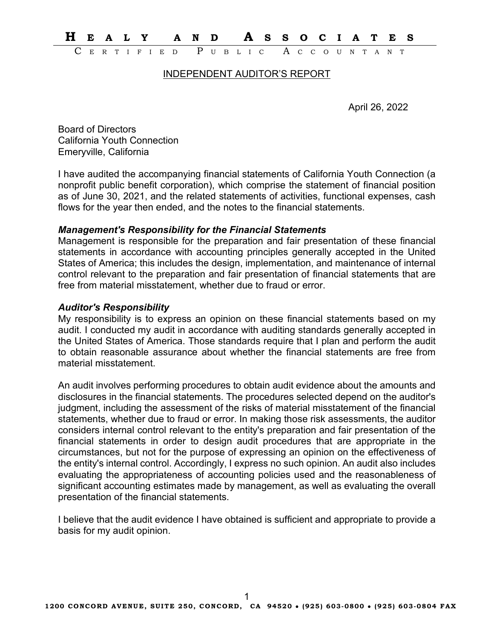**H EALY AND A SSOCIATES**

C ERTIFIED P UBLIC A CCOUNTANT

#### INDEPENDENT AUDITOR'S REPORT

April 26, 2022

Board of Directors California Youth Connection Emeryville, California

I have audited the accompanying financial statements of California Youth Connection (a nonprofit public benefit corporation), which comprise the statement of financial position as of June 30, 2021, and the related statements of activities, functional expenses, cash flows for the year then ended, and the notes to the financial statements.

## *Management's Responsibility for the Financial Statements*

Management is responsible for the preparation and fair presentation of these financial statements in accordance with accounting principles generally accepted in the United States of America; this includes the design, implementation, and maintenance of internal control relevant to the preparation and fair presentation of financial statements that are free from material misstatement, whether due to fraud or error.

#### *Auditor's Responsibility*

My responsibility is to express an opinion on these financial statements based on my audit. I conducted my audit in accordance with auditing standards generally accepted in the United States of America. Those standards require that I plan and perform the audit to obtain reasonable assurance about whether the financial statements are free from material misstatement.

An audit involves performing procedures to obtain audit evidence about the amounts and disclosures in the financial statements. The procedures selected depend on the auditor's judgment, including the assessment of the risks of material misstatement of the financial statements, whether due to fraud or error. In making those risk assessments, the auditor considers internal control relevant to the entity's preparation and fair presentation of the financial statements in order to design audit procedures that are appropriate in the circumstances, but not for the purpose of expressing an opinion on the effectiveness of the entity's internal control. Accordingly, I express no such opinion. An audit also includes evaluating the appropriateness of accounting policies used and the reasonableness of significant accounting estimates made by management, as well as evaluating the overall presentation of the financial statements.

I believe that the audit evidence I have obtained is sufficient and appropriate to provide a basis for my audit opinion.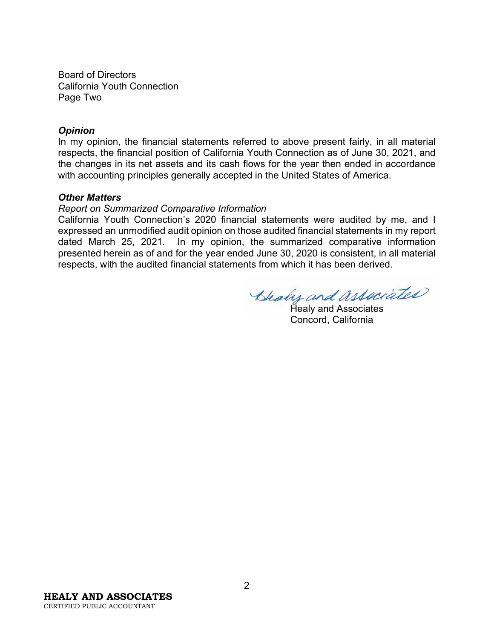Board of Directors California Youth Connection Page Two

## *Opinion*

In my opinion, the financial statements referred to above present fairly, in all material respects, the financial position of California Youth Connection as of June 30, 2021, and the changes in its net assets and its cash flows for the year then ended in accordance with accounting principles generally accepted in the United States of America.

## *Other Matters*

## *Report on Summarized Comparative Information*

California Youth Connection's 2020 financial statements were audited by me, and I expressed an unmodified audit opinion on those audited financial statements in my report dated March 25, 2021. In my opinion, the summarized comparative information presented herein as of and for the year ended June 30, 2020 is consistent, in all material respects, with the audited financial statements from which it has been derived.

Beaky and associated

Healy and Associates Concord, California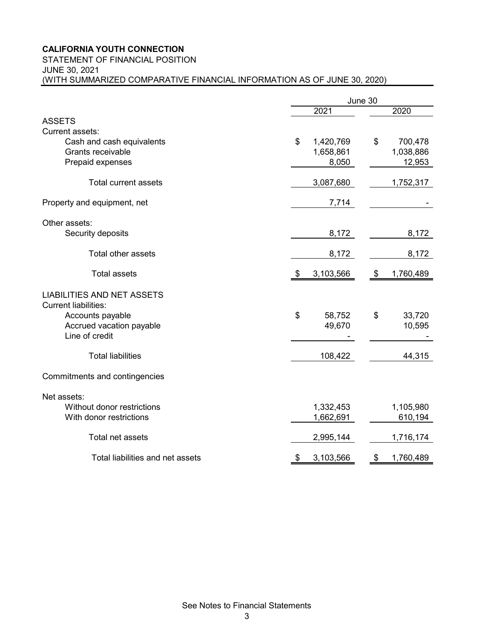## STATEMENT OF FINANCIAL POSITION

JUNE 30, 2021

(WITH SUMMARIZED COMPARATIVE FINANCIAL INFORMATION AS OF JUNE 30, 2020)

|                                   | June 30           |                 |  |
|-----------------------------------|-------------------|-----------------|--|
|                                   | 2021              | 2020            |  |
| <b>ASSETS</b>                     |                   |                 |  |
| Current assets:                   |                   |                 |  |
| Cash and cash equivalents         | 1,420,769<br>\$   | \$<br>700,478   |  |
| Grants receivable                 | 1,658,861         | 1,038,886       |  |
| Prepaid expenses                  | 8,050             | 12,953          |  |
| <b>Total current assets</b>       | 3,087,680         | 1,752,317       |  |
| Property and equipment, net       | 7,714             |                 |  |
| Other assets:                     |                   |                 |  |
| Security deposits                 | 8,172             | 8,172           |  |
| Total other assets                | 8,172             | 8,172           |  |
| <b>Total assets</b>               | 3,103,566<br>- \$ | 1,760,489<br>\$ |  |
| <b>LIABILITIES AND NET ASSETS</b> |                   |                 |  |
| <b>Current liabilities:</b>       |                   |                 |  |
| Accounts payable                  | \$<br>58,752      | \$<br>33,720    |  |
| Accrued vacation payable          | 49,670            | 10,595          |  |
| Line of credit                    |                   |                 |  |
| <b>Total liabilities</b>          | 108,422           | 44,315          |  |
| Commitments and contingencies     |                   |                 |  |
| Net assets:                       |                   |                 |  |
| Without donor restrictions        | 1,332,453         | 1,105,980       |  |
| With donor restrictions           | 1,662,691         | 610,194         |  |
| Total net assets                  | 2,995,144         | 1,716,174       |  |
| Total liabilities and net assets  | 3,103,566<br>\$   | 1,760,489<br>\$ |  |
|                                   |                   |                 |  |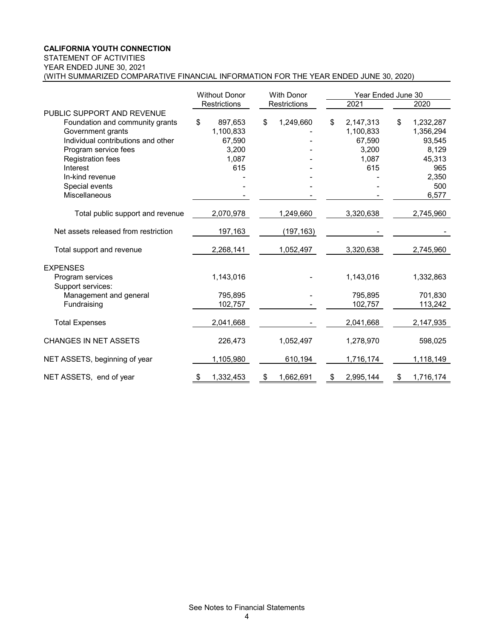STATEMENT OF ACTIVITIES

YEAR ENDED JUNE 30, 2021

(WITH SUMMARIZED COMPARATIVE FINANCIAL INFORMATION FOR THE YEAR ENDED JUNE 30, 2020)

|                                      | <b>Without Donor</b> | <b>With Donor</b> | Year Ended June 30 |                 |
|--------------------------------------|----------------------|-------------------|--------------------|-----------------|
|                                      | Restrictions         | Restrictions      | 2021               | 2020            |
| PUBLIC SUPPORT AND REVENUE           |                      |                   |                    |                 |
| Foundation and community grants      | \$<br>897,653        | \$<br>1,249,660   | \$<br>2,147,313    | \$<br>1,232,287 |
| Government grants                    | 1,100,833            |                   | 1,100,833          | 1,356,294       |
| Individual contributions and other   | 67,590               |                   | 67,590             | 93,545          |
| Program service fees                 | 3,200                |                   | 3,200              | 8,129           |
| <b>Registration fees</b>             | 1,087                |                   | 1,087              | 45,313          |
| Interest                             | 615                  |                   | 615                | 965             |
| In-kind revenue                      |                      |                   |                    | 2,350           |
| Special events                       |                      |                   |                    | 500             |
| Miscellaneous                        |                      |                   |                    | 6,577           |
|                                      |                      |                   |                    |                 |
| Total public support and revenue     | 2,070,978            | 1,249,660         | 3,320,638          | 2,745,960       |
| Net assets released from restriction | 197,163              | (197, 163)        |                    |                 |
| Total support and revenue            | 2,268,141            | 1,052,497         | 3,320,638          | 2,745,960       |
| <b>EXPENSES</b>                      |                      |                   |                    |                 |
| Program services                     | 1,143,016            |                   | 1,143,016          | 1,332,863       |
| Support services:                    |                      |                   |                    |                 |
| Management and general               | 795,895              |                   | 795.895            | 701,830         |
| Fundraising                          | 102,757              |                   | 102,757            | 113,242         |
|                                      |                      |                   |                    |                 |
| <b>Total Expenses</b>                | 2,041,668            |                   | 2,041,668          | 2,147,935       |
| <b>CHANGES IN NET ASSETS</b>         | 226,473              | 1,052,497         | 1,278,970          | 598,025         |
| NET ASSETS, beginning of year        | 1,105,980            | 610,194           | 1,716,174          | 1,118,149       |
|                                      |                      |                   |                    |                 |
| NET ASSETS, end of year              | \$<br>1,332,453      | \$<br>1,662,691   | \$<br>2,995,144    | \$<br>1,716,174 |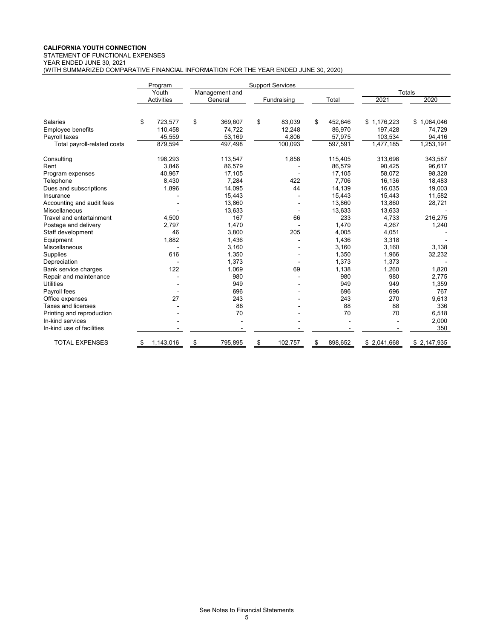STATEMENT OF FUNCTIONAL EXPENSES

YEAR ENDED JUNE 30, 2021

(WITH SUMMARIZED COMPARATIVE FINANCIAL INFORMATION FOR THE YEAR ENDED JUNE 30, 2020)

|                             | Program           |                | <b>Support Services</b> |               |             |             |
|-----------------------------|-------------------|----------------|-------------------------|---------------|-------------|-------------|
|                             | Youth             | Management and |                         |               |             | Totals      |
|                             | <b>Activities</b> | General        | Fundraising             | Total         | 2021        | 2020        |
|                             |                   |                |                         |               |             |             |
| Salaries                    | \$<br>723,577     | \$<br>369,607  | \$<br>83,039            | \$<br>452,646 | \$1,176,223 | \$1,084,046 |
| <b>Employee benefits</b>    | 110,458           | 74,722         | 12,248                  | 86,970        | 197,428     | 74,729      |
| Payroll taxes               | 45,559            | 53,169         | 4,806                   | 57,975        | 103,534     | 94,416      |
| Total payroll-related costs | 879,594           | 497,498        | 100,093                 | 597,591       | 1,477,185   | 1,253,191   |
| Consulting                  | 198,293           | 113,547        | 1,858                   | 115,405       | 313,698     | 343,587     |
| Rent                        | 3,846             | 86,579         |                         | 86,579        | 90,425      | 96,617      |
| Program expenses            | 40,967            | 17,105         |                         | 17,105        | 58,072      | 98,328      |
| Telephone                   | 8,430             | 7,284          | 422                     | 7,706         | 16,136      | 18,483      |
| Dues and subscriptions      | 1,896             | 14,095         | 44                      | 14,139        | 16,035      | 19,003      |
| Insurance                   |                   | 15,443         |                         | 15,443        | 15,443      | 11,582      |
| Accounting and audit fees   |                   | 13,860         |                         | 13,860        | 13,860      | 28,721      |
| Miscellaneous               |                   | 13,633         |                         | 13,633        | 13,633      |             |
| Travel and entertainment    | 4,500             | 167            | 66                      | 233           | 4,733       | 216,275     |
| Postage and delivery        | 2,797             | 1,470          |                         | 1,470         | 4,267       | 1,240       |
| Staff development           | 46                | 3,800          | 205                     | 4,005         | 4,051       |             |
| Equipment                   | 1,882             | 1,436          |                         | 1,436         | 3,318       |             |
| Miscellaneous               |                   | 3,160          |                         | 3,160         | 3,160       | 3,138       |
| Supplies                    | 616               | 1,350          |                         | 1,350         | 1,966       | 32,232      |
| Depreciation                |                   | 1,373          |                         | 1,373         | 1,373       |             |
| Bank service charges        | 122               | 1,069          | 69                      | 1,138         | 1,260       | 1,820       |
| Repair and maintenance      |                   | 980            |                         | 980           | 980         | 2,775       |
| <b>Utilities</b>            |                   | 949            |                         | 949           | 949         | 1,359       |
| Payroll fees                |                   | 696            |                         | 696           | 696         | 767         |
| Office expenses             | 27                | 243            |                         | 243           | 270         | 9,613       |
| Taxes and licenses          |                   | 88             |                         | 88            | 88          | 336         |
| Printing and reproduction   |                   | 70             |                         | 70            | 70          | 6,518       |
| In-kind services            |                   |                |                         |               |             | 2,000       |
| In-kind use of facilities   |                   |                |                         |               |             | 350         |
| <b>TOTAL EXPENSES</b>       | 1,143,016<br>\$   | 795,895<br>\$  | 102,757<br>\$           | 898,652<br>\$ | \$2,041,668 | \$2,147,935 |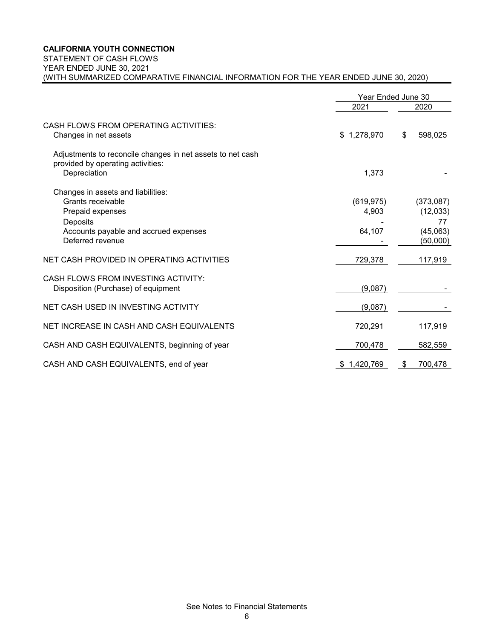### STATEMENT OF CASH FLOWS

YEAR ENDED JUNE 30, 2021

(WITH SUMMARIZED COMPARATIVE FINANCIAL INFORMATION FOR THE YEAR ENDED JUNE 30, 2020)

|                                                                                                                                                      | Year Ended June 30            |      |                                                     |
|------------------------------------------------------------------------------------------------------------------------------------------------------|-------------------------------|------|-----------------------------------------------------|
|                                                                                                                                                      | 2021                          | 2020 |                                                     |
| CASH FLOWS FROM OPERATING ACTIVITIES:<br>Changes in net assets                                                                                       | 1,278,970<br>\$               | \$   | 598,025                                             |
| Adjustments to reconcile changes in net assets to net cash<br>provided by operating activities:<br>Depreciation                                      | 1,373                         |      |                                                     |
| Changes in assets and liabilities:<br>Grants receivable<br>Prepaid expenses<br>Deposits<br>Accounts payable and accrued expenses<br>Deferred revenue | (619, 975)<br>4,903<br>64,107 |      | (373,087)<br>(12,033)<br>77<br>(45,063)<br>(50,000) |
| NET CASH PROVIDED IN OPERATING ACTIVITIES                                                                                                            | 729,378                       |      | 117,919                                             |
| CASH FLOWS FROM INVESTING ACTIVITY:<br>Disposition (Purchase) of equipment                                                                           | (9,087)                       |      |                                                     |
| NET CASH USED IN INVESTING ACTIVITY                                                                                                                  | (9,087)                       |      |                                                     |
| NET INCREASE IN CASH AND CASH EQUIVALENTS                                                                                                            | 720,291                       |      | 117,919                                             |
| CASH AND CASH EQUIVALENTS, beginning of year                                                                                                         | 700,478                       |      | 582,559                                             |
| CASH AND CASH EQUIVALENTS, end of year                                                                                                               | 1,420,769                     | \$   | 700,478                                             |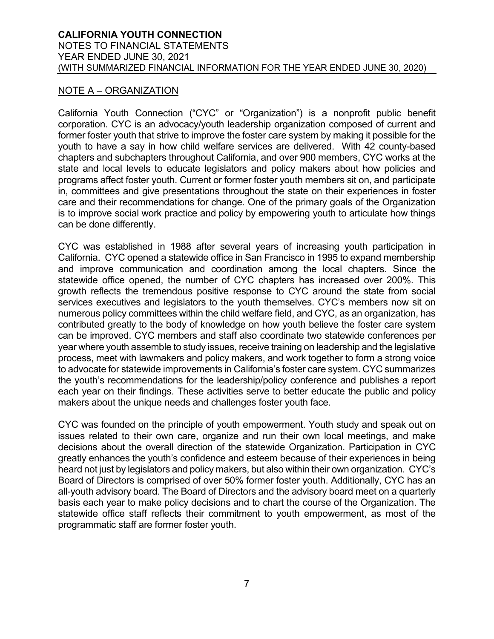## NOTE A – ORGANIZATION

California Youth Connection ("CYC" or "Organization") is a nonprofit public benefit corporation. CYC is an advocacy/youth leadership organization composed of current and former foster youth that strive to improve the foster care system by making it possible for the youth to have a say in how child welfare services are delivered. With 42 county-based chapters and subchapters throughout California, and over 900 members, CYC works at the state and local levels to educate legislators and policy makers about how policies and programs affect foster youth. Current or former foster youth members sit on, and participate in, committees and give presentations throughout the state on their experiences in foster care and their recommendations for change. One of the primary goals of the Organization is to improve social work practice and policy by empowering youth to articulate how things can be done differently.

CYC was established in 1988 after several years of increasing youth participation in California. CYC opened a statewide office in San Francisco in 1995 to expand membership and improve communication and coordination among the local chapters. Since the statewide office opened, the number of CYC chapters has increased over 200%. This growth reflects the tremendous positive response to CYC around the state from social services executives and legislators to the youth themselves. CYC's members now sit on numerous policy committees within the child welfare field, and CYC, as an organization, has contributed greatly to the body of knowledge on how youth believe the foster care system can be improved. CYC members and staff also coordinate two statewide conferences per year where youth assemble to study issues, receive training on leadership and the legislative process, meet with lawmakers and policy makers, and work together to form a strong voice to advocate for statewide improvements in California's foster care system. CYC summarizes the youth's recommendations for the leadership/policy conference and publishes a report each year on their findings. These activities serve to better educate the public and policy makers about the unique needs and challenges foster youth face.

CYC was founded on the principle of youth empowerment. Youth study and speak out on issues related to their own care, organize and run their own local meetings, and make decisions about the overall direction of the statewide Organization. Participation in CYC greatly enhances the youth's confidence and esteem because of their experiences in being heard not just by legislators and policy makers, but also within their own organization. CYC's Board of Directors is comprised of over 50% former foster youth. Additionally, CYC has an all-youth advisory board. The Board of Directors and the advisory board meet on a quarterly basis each year to make policy decisions and to chart the course of the Organization. The statewide office staff reflects their commitment to youth empowerment, as most of the programmatic staff are former foster youth.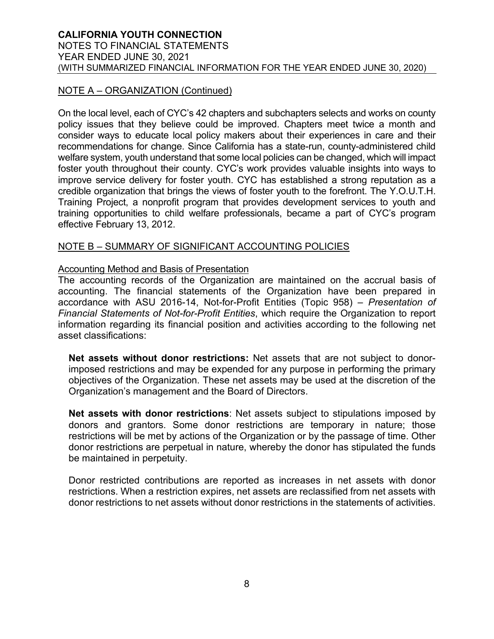## NOTE A – ORGANIZATION (Continued)

On the local level, each of CYC's 42 chapters and subchapters selects and works on county policy issues that they believe could be improved. Chapters meet twice a month and consider ways to educate local policy makers about their experiences in care and their recommendations for change. Since California has a state-run, county-administered child welfare system, youth understand that some local policies can be changed, which will impact foster youth throughout their county. CYC's work provides valuable insights into ways to improve service delivery for foster youth. CYC has established a strong reputation as a credible organization that brings the views of foster youth to the forefront. The Y.O.U.T.H. Training Project, a nonprofit program that provides development services to youth and training opportunities to child welfare professionals, became a part of CYC's program effective February 13, 2012.

## NOTE B – SUMMARY OF SIGNIFICANT ACCOUNTING POLICIES

## Accounting Method and Basis of Presentation

The accounting records of the Organization are maintained on the accrual basis of accounting. The financial statements of the Organization have been prepared in accordance with ASU 2016-14, Not-for-Profit Entities (Topic 958) – *Presentation of Financial Statements of Not-for-Profit Entities*, which require the Organization to report information regarding its financial position and activities according to the following net asset classifications:

**Net assets without donor restrictions:** Net assets that are not subject to donorimposed restrictions and may be expended for any purpose in performing the primary objectives of the Organization. These net assets may be used at the discretion of the Organization's management and the Board of Directors.

**Net assets with donor restrictions**: Net assets subject to stipulations imposed by donors and grantors. Some donor restrictions are temporary in nature; those restrictions will be met by actions of the Organization or by the passage of time. Other donor restrictions are perpetual in nature, whereby the donor has stipulated the funds be maintained in perpetuity.

Donor restricted contributions are reported as increases in net assets with donor restrictions. When a restriction expires, net assets are reclassified from net assets with donor restrictions to net assets without donor restrictions in the statements of activities.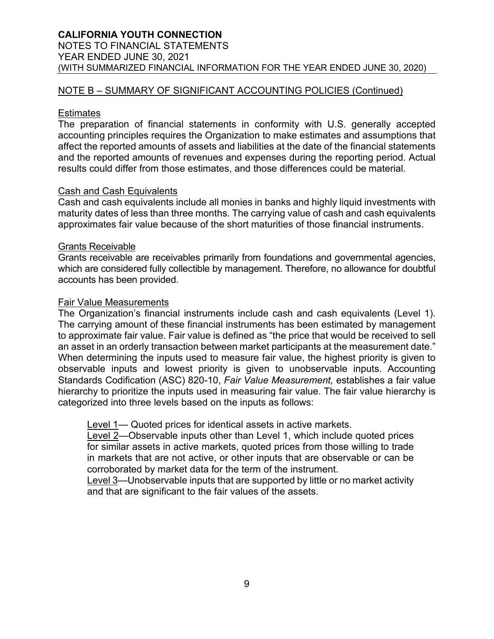## NOTE B – SUMMARY OF SIGNIFICANT ACCOUNTING POLICIES (Continued)

## **Estimates**

The preparation of financial statements in conformity with U.S. generally accepted accounting principles requires the Organization to make estimates and assumptions that affect the reported amounts of assets and liabilities at the date of the financial statements and the reported amounts of revenues and expenses during the reporting period. Actual results could differ from those estimates, and those differences could be material.

## Cash and Cash Equivalents

Cash and cash equivalents include all monies in banks and highly liquid investments with maturity dates of less than three months. The carrying value of cash and cash equivalents approximates fair value because of the short maturities of those financial instruments.

## Grants Receivable

Grants receivable are receivables primarily from foundations and governmental agencies, which are considered fully collectible by management. Therefore, no allowance for doubtful accounts has been provided.

## Fair Value Measurements

The Organization's financial instruments include cash and cash equivalents (Level 1). The carrying amount of these financial instruments has been estimated by management to approximate fair value. Fair value is defined as "the price that would be received to sell an asset in an orderly transaction between market participants at the measurement date." When determining the inputs used to measure fair value, the highest priority is given to observable inputs and lowest priority is given to unobservable inputs. Accounting Standards Codification (ASC) 820-10, *Fair Value Measurement,* establishes a fair value hierarchy to prioritize the inputs used in measuring fair value. The fair value hierarchy is categorized into three levels based on the inputs as follows:

Level 1— Quoted prices for identical assets in active markets.

Level 2—Observable inputs other than Level 1, which include quoted prices for similar assets in active markets, quoted prices from those willing to trade in markets that are not active, or other inputs that are observable or can be corroborated by market data for the term of the instrument.

Level 3—Unobservable inputs that are supported by little or no market activity and that are significant to the fair values of the assets.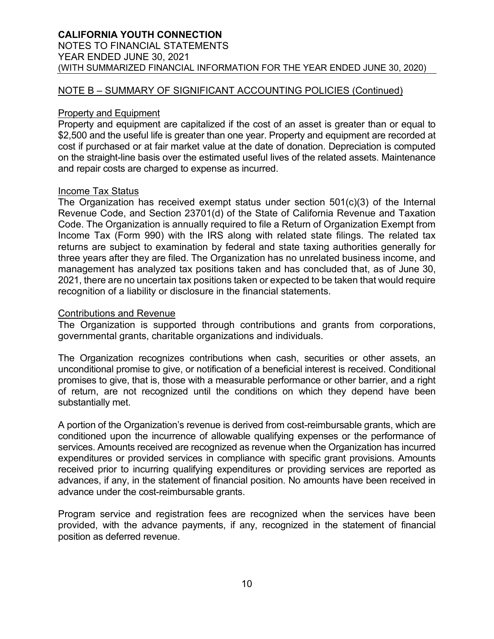## NOTE B – SUMMARY OF SIGNIFICANT ACCOUNTING POLICIES (Continued)

### Property and Equipment

Property and equipment are capitalized if the cost of an asset is greater than or equal to \$2,500 and the useful life is greater than one year. Property and equipment are recorded at cost if purchased or at fair market value at the date of donation. Depreciation is computed on the straight-line basis over the estimated useful lives of the related assets. Maintenance and repair costs are charged to expense as incurred.

#### Income Tax Status

The Organization has received exempt status under section 501(c)(3) of the Internal Revenue Code, and Section 23701(d) of the State of California Revenue and Taxation Code. The Organization is annually required to file a Return of Organization Exempt from Income Tax (Form 990) with the IRS along with related state filings. The related tax returns are subject to examination by federal and state taxing authorities generally for three years after they are filed. The Organization has no unrelated business income, and management has analyzed tax positions taken and has concluded that, as of June 30, 2021, there are no uncertain tax positions taken or expected to be taken that would require recognition of a liability or disclosure in the financial statements.

#### Contributions and Revenue

The Organization is supported through contributions and grants from corporations, governmental grants, charitable organizations and individuals.

The Organization recognizes contributions when cash, securities or other assets, an unconditional promise to give, or notification of a beneficial interest is received. Conditional promises to give, that is, those with a measurable performance or other barrier, and a right of return, are not recognized until the conditions on which they depend have been substantially met.

A portion of the Organization's revenue is derived from cost-reimbursable grants, which are conditioned upon the incurrence of allowable qualifying expenses or the performance of services. Amounts received are recognized as revenue when the Organization has incurred expenditures or provided services in compliance with specific grant provisions. Amounts received prior to incurring qualifying expenditures or providing services are reported as advances, if any, in the statement of financial position. No amounts have been received in advance under the cost-reimbursable grants.

Program service and registration fees are recognized when the services have been provided, with the advance payments, if any, recognized in the statement of financial position as deferred revenue.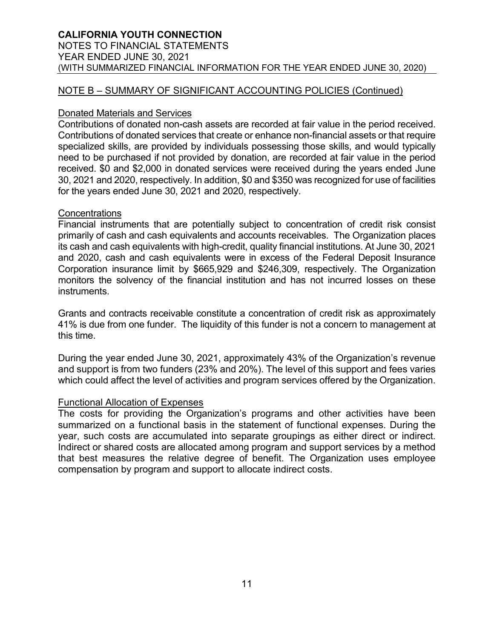## NOTE B – SUMMARY OF SIGNIFICANT ACCOUNTING POLICIES (Continued)

## Donated Materials and Services

Contributions of donated non-cash assets are recorded at fair value in the period received. Contributions of donated services that create or enhance non-financial assets or that require specialized skills, are provided by individuals possessing those skills, and would typically need to be purchased if not provided by donation, are recorded at fair value in the period received. \$0 and \$2,000 in donated services were received during the years ended June 30, 2021 and 2020, respectively. In addition, \$0 and \$350 was recognized for use of facilities for the years ended June 30, 2021 and 2020, respectively.

## **Concentrations**

Financial instruments that are potentially subject to concentration of credit risk consist primarily of cash and cash equivalents and accounts receivables. The Organization places its cash and cash equivalents with high-credit, quality financial institutions. At June 30, 2021 and 2020, cash and cash equivalents were in excess of the Federal Deposit Insurance Corporation insurance limit by \$665,929 and \$246,309, respectively. The Organization monitors the solvency of the financial institution and has not incurred losses on these instruments.

Grants and contracts receivable constitute a concentration of credit risk as approximately 41% is due from one funder. The liquidity of this funder is not a concern to management at this time.

During the year ended June 30, 2021, approximately 43% of the Organization's revenue and support is from two funders (23% and 20%). The level of this support and fees varies which could affect the level of activities and program services offered by the Organization.

## Functional Allocation of Expenses

The costs for providing the Organization's programs and other activities have been summarized on a functional basis in the statement of functional expenses. During the year, such costs are accumulated into separate groupings as either direct or indirect. Indirect or shared costs are allocated among program and support services by a method that best measures the relative degree of benefit. The Organization uses employee compensation by program and support to allocate indirect costs.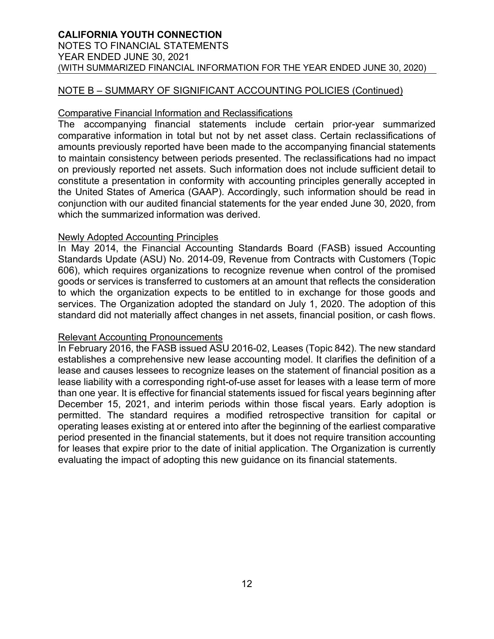## NOTE B – SUMMARY OF SIGNIFICANT ACCOUNTING POLICIES (Continued)

## Comparative Financial Information and Reclassifications

The accompanying financial statements include certain prior-year summarized comparative information in total but not by net asset class. Certain reclassifications of amounts previously reported have been made to the accompanying financial statements to maintain consistency between periods presented. The reclassifications had no impact on previously reported net assets. Such information does not include sufficient detail to constitute a presentation in conformity with accounting principles generally accepted in the United States of America (GAAP). Accordingly, such information should be read in conjunction with our audited financial statements for the year ended June 30, 2020, from which the summarized information was derived.

## Newly Adopted Accounting Principles

In May 2014, the Financial Accounting Standards Board (FASB) issued Accounting Standards Update (ASU) No. 2014-09, Revenue from Contracts with Customers (Topic 606), which requires organizations to recognize revenue when control of the promised goods or services is transferred to customers at an amount that reflects the consideration to which the organization expects to be entitled to in exchange for those goods and services. The Organization adopted the standard on July 1, 2020. The adoption of this standard did not materially affect changes in net assets, financial position, or cash flows.

## Relevant Accounting Pronouncements

In February 2016, the FASB issued ASU 2016-02, Leases (Topic 842). The new standard establishes a comprehensive new lease accounting model. It clarifies the definition of a lease and causes lessees to recognize leases on the statement of financial position as a lease liability with a corresponding right-of-use asset for leases with a lease term of more than one year. It is effective for financial statements issued for fiscal years beginning after December 15, 2021, and interim periods within those fiscal years. Early adoption is permitted. The standard requires a modified retrospective transition for capital or operating leases existing at or entered into after the beginning of the earliest comparative period presented in the financial statements, but it does not require transition accounting for leases that expire prior to the date of initial application. The Organization is currently evaluating the impact of adopting this new guidance on its financial statements.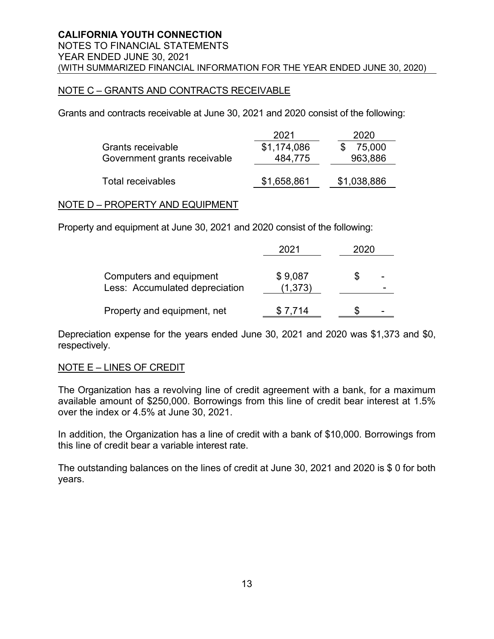## NOTE C – GRANTS AND CONTRACTS RECEIVABLE

Grants and contracts receivable at June 30, 2021 and 2020 consist of the following:

|                              | 2021        | 2020        |
|------------------------------|-------------|-------------|
| Grants receivable            | \$1,174,086 | 75,000      |
| Government grants receivable | 484,775     | 963,886     |
|                              |             |             |
| <b>Total receivables</b>     | \$1,658,861 | \$1,038,886 |

## NOTE D – PROPERTY AND EQUIPMENT

Property and equipment at June 30, 2021 and 2020 consist of the following:

|                                                           | 2021                | 2020 |  |
|-----------------------------------------------------------|---------------------|------|--|
| Computers and equipment<br>Less: Accumulated depreciation | \$9,087<br>(1, 373) |      |  |
| Property and equipment, net                               | \$7,714             |      |  |

Depreciation expense for the years ended June 30, 2021 and 2020 was \$1,373 and \$0, respectively.

## NOTE E – LINES OF CREDIT

The Organization has a revolving line of credit agreement with a bank, for a maximum available amount of \$250,000. Borrowings from this line of credit bear interest at 1.5% over the index or 4.5% at June 30, 2021.

In addition, the Organization has a line of credit with a bank of \$10,000. Borrowings from this line of credit bear a variable interest rate.

The outstanding balances on the lines of credit at June 30, 2021 and 2020 is \$ 0 for both years.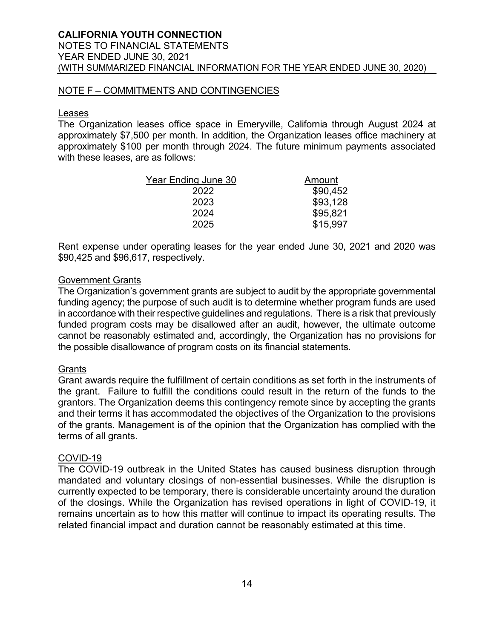#### NOTE F – COMMITMENTS AND CONTINGENCIES

#### Leases

The Organization leases office space in Emeryville, California through August 2024 at approximately \$7,500 per month. In addition, the Organization leases office machinery at approximately \$100 per month through 2024. The future minimum payments associated with these leases, are as follows:

| Year Ending June 30 | Amount   |
|---------------------|----------|
| 2022                | \$90,452 |
| 2023                | \$93,128 |
| 2024                | \$95,821 |
| 2025                | \$15,997 |

Rent expense under operating leases for the year ended June 30, 2021 and 2020 was \$90,425 and \$96,617, respectively.

## Government Grants

The Organization's government grants are subject to audit by the appropriate governmental funding agency; the purpose of such audit is to determine whether program funds are used in accordance with their respective guidelines and regulations. There is a risk that previously funded program costs may be disallowed after an audit, however, the ultimate outcome cannot be reasonably estimated and, accordingly, the Organization has no provisions for the possible disallowance of program costs on its financial statements.

## **Grants**

Grant awards require the fulfillment of certain conditions as set forth in the instruments of the grant. Failure to fulfill the conditions could result in the return of the funds to the grantors. The Organization deems this contingency remote since by accepting the grants and their terms it has accommodated the objectives of the Organization to the provisions of the grants. Management is of the opinion that the Organization has complied with the terms of all grants.

## COVID-19

The COVID-19 outbreak in the United States has caused business disruption through mandated and voluntary closings of non-essential businesses. While the disruption is currently expected to be temporary, there is considerable uncertainty around the duration of the closings. While the Organization has revised operations in light of COVID-19, it remains uncertain as to how this matter will continue to impact its operating results. The related financial impact and duration cannot be reasonably estimated at this time.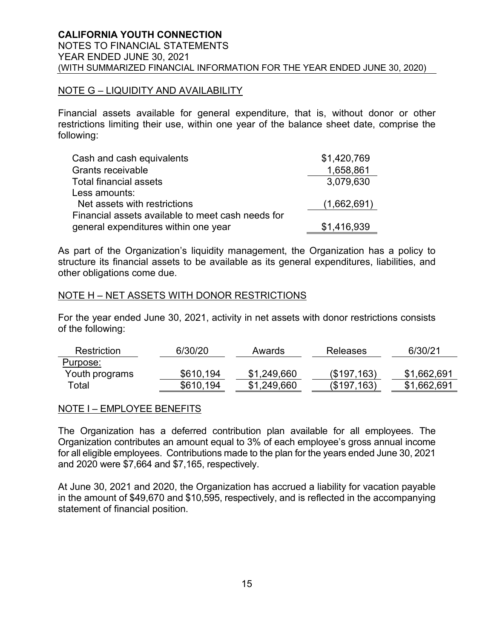## NOTE G – LIQUIDITY AND AVAILABILITY

Financial assets available for general expenditure, that is, without donor or other restrictions limiting their use, within one year of the balance sheet date, comprise the following:

| Cash and cash equivalents                         | \$1,420,769 |
|---------------------------------------------------|-------------|
| Grants receivable                                 | 1,658,861   |
| <b>Total financial assets</b>                     | 3,079,630   |
| Less amounts:                                     |             |
| Net assets with restrictions                      | (1,662,691) |
| Financial assets available to meet cash needs for |             |
| general expenditures within one year              | \$1,416,939 |

As part of the Organization's liquidity management, the Organization has a policy to structure its financial assets to be available as its general expenditures, liabilities, and other obligations come due.

## NOTE H – NET ASSETS WITH DONOR RESTRICTIONS

For the year ended June 30, 2021, activity in net assets with donor restrictions consists of the following:

| Restriction     | 6/30/20   | Awards      | Releases     | 6/30/21     |
|-----------------|-----------|-------------|--------------|-------------|
| <u>Purpose:</u> |           |             |              |             |
| Youth programs  | \$610,194 | \$1,249,660 | (\$197,163)  | \$1,662,691 |
| $\tau$ otal     | \$610,194 | \$1,249,660 | (\$197, 163) | \$1,662,691 |

#### NOTE I – EMPLOYEE BENEFITS

The Organization has a deferred contribution plan available for all employees. The Organization contributes an amount equal to 3% of each employee's gross annual income for all eligible employees. Contributions made to the plan for the years ended June 30, 2021 and 2020 were \$7,664 and \$7,165, respectively.

At June 30, 2021 and 2020, the Organization has accrued a liability for vacation payable in the amount of \$49,670 and \$10,595, respectively, and is reflected in the accompanying statement of financial position.